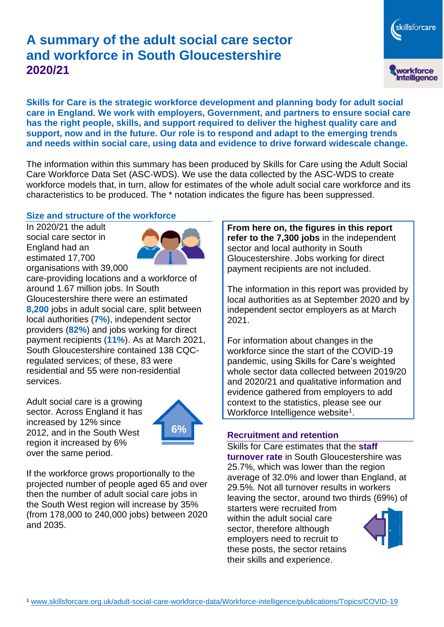# **A summary of the adult social care sector and workforce in South Gloucestershire 2020/21**

skillsforcare workforce<br>intelligence

**Skills for Care is the strategic workforce development and planning body for adult social care in England. We work with employers, Government, and partners to ensure social care has the right people, skills, and support required to deliver the highest quality care and support, now and in the future. Our role is to respond and adapt to the emerging trends and needs within social care, using data and evidence to drive forward widescale change.**

The information within this summary has been produced by Skills for Care using the Adult Social Care Workforce Data Set (ASC-WDS). We use the data collected by the ASC-WDS to create workforce models that, in turn, allow for estimates of the whole adult social care workforce and its characteristics to be produced. The \* notation indicates the figure has been suppressed.

#### **Size and structure of the workforce**

In 2020/21 the adult social care sector in England had an estimated 17,700 organisations with 39,000



care-providing locations and a workforce of around 1.67 million jobs. In South Gloucestershire there were an estimated **8,200** jobs in adult social care, split between local authorities (**7%**), independent sector providers (**82%**) and jobs working for direct payment recipients (**11%**). As at March 2021, South Gloucestershire contained 138 CQCregulated services; of these, 83 were residential and 55 were non-residential services.

Adult social care is a growing sector. Across England it has increased by 12% since 2012, and in the South West region it increased by 6% over the same period.



If the workforce grows proportionally to the projected number of people aged 65 and over then the number of adult social care jobs in the South West region will increase by 35% (from 178,000 to 240,000 jobs) between 2020 and 2035.

**From here on, the figures in this report refer to the 7,300 jobs** in the independent sector and local authority in South Gloucestershire. Jobs working for direct payment recipients are not included.

The information in this report was provided by local authorities as at September 2020 and by independent sector employers as at March 2021.

For information about changes in the workforce since the start of the COVID-19 pandemic, using Skills for Care's weighted whole sector data collected between 2019/20 and 2020/21 and qualitative information and evidence gathered from employers to add context to the statistics, please see our Workforce Intelligence website<sup>1</sup>.

#### **Recruitment and retention**

Skills for Care estimates that the **staff turnover rate** in South Gloucestershire was 25.7%, which was lower than the region average of 32.0% and lower than England, at 29.5%. Not all turnover results in workers leaving the sector, around two thirds (69%) of

starters were recruited from within the adult social care sector, therefore although employers need to recruit to these posts, the sector retains their skills and experience.

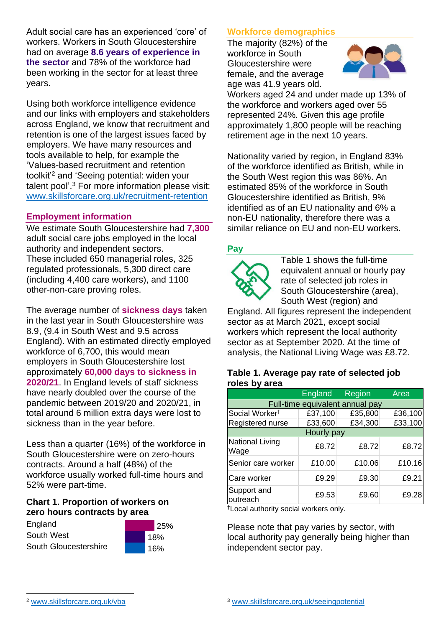Adult social care has an experienced 'core' of workers. Workers in South Gloucestershire had on average **8.6 years of experience in the sector** and 78% of the workforce had been working in the sector for at least three years.

Using both workforce intelligence evidence and our links with employers and stakeholders across England, we know that recruitment and retention is one of the largest issues faced by employers. We have many resources and tools available to help, for example the 'Values-based recruitment and retention toolkit'<sup>2</sup> and 'Seeing potential: widen your talent pool'. <sup>3</sup> For more information please visit: [www.skillsforcare.org.uk/recruitment-retention](http://www.skillsforcare.org.uk/recruitment-retention)

## **Employment information**

We estimate South Gloucestershire had **7,300** adult social care jobs employed in the local authority and independent sectors. These included 650 managerial roles, 325 regulated professionals, 5,300 direct care (including 4,400 care workers), and 1100 other-non-care proving roles.

The average number of **sickness days** taken in the last year in South Gloucestershire was 8.9, (9.4 in South West and 9.5 across England). With an estimated directly employed workforce of 6,700, this would mean employers in South Gloucestershire lost approximately **60,000 days to sickness in 2020/21**. In England levels of staff sickness have nearly doubled over the course of the pandemic between 2019/20 and 2020/21, in total around 6 million extra days were lost to sickness than in the year before.

Less than a quarter (16%) of the workforce in South Gloucestershire were on zero-hours contracts. Around a half (48%) of the workforce usually worked full-time hours and 52% were part-time.

#### **Chart 1. Proportion of workers on zero hours contracts by area**

England South West South Gloucestershire



## **Workforce demographics**

The majority (82%) of the workforce in South Gloucestershire were female, and the average age was 41.9 years old.



Workers aged 24 and under made up 13% of the workforce and workers aged over 55 represented 24%. Given this age profile approximately 1,800 people will be reaching retirement age in the next 10 years.

Nationality varied by region, in England 83% of the workforce identified as British, while in the South West region this was 86%. An estimated 85% of the workforce in South Gloucestershire identified as British, 9% identified as of an EU nationality and 6% a non-EU nationality, therefore there was a similar reliance on EU and non-EU workers.

#### **Pay**



Table 1 shows the full-time equivalent annual or hourly pay rate of selected job roles in South Gloucestershire (area), South West (region) and

England. All figures represent the independent sector as at March 2021, except social workers which represent the local authority sector as at September 2020. At the time of analysis, the National Living Wage was £8.72.

#### **Table 1. Average pay rate of selected job roles by area**

|                                 | <b>England</b> | Region  | Area    |
|---------------------------------|----------------|---------|---------|
| Full-time equivalent annual pay |                |         |         |
| Social Worker <sup>t</sup>      | £37,100        | £35,800 | £36,100 |
| Registered nurse                | £33,600        | £34,300 | £33,100 |
| Hourly pay                      |                |         |         |
| National Living<br>Wage         | £8.72          | £8.72   | £8.72   |
| Senior care worker              | £10.00         | £10.06  | £10.16  |
| Care worker                     | £9.29          | £9.30   | £9.21   |
| Support and<br>outreach         | £9.53          | £9.60   | £9.28   |

†Local authority social workers only.

Please note that pay varies by sector, with local authority pay generally being higher than independent sector pay.

[www.skillsforcare.org.uk/vba](http://www.skillsforcare.org.uk/vba)